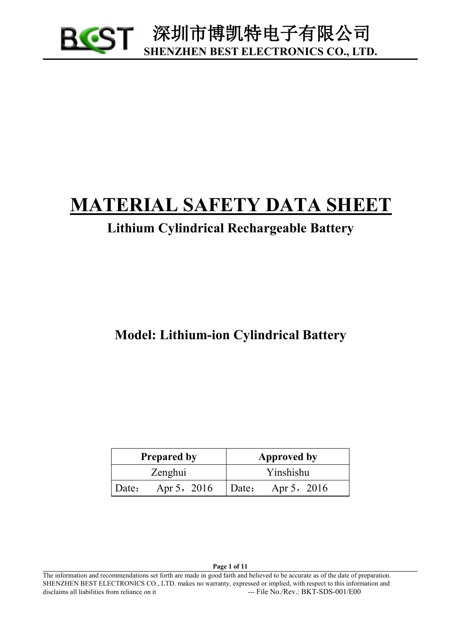

# <sup>U</sup>**MATERIAL SAFETY DATA SHEET**

# **Lithium Cylindrical Rechargeable Battery**

**Model: Lithium-ion Cylindrical Battery**

| <b>Prepared by</b>   | Approved by          |  |
|----------------------|----------------------|--|
| Zenghui              | Yinshishu            |  |
| Apr 5, 2016<br>Date: | Apr 5, 2016<br>Date: |  |

**Page 1 of 11**

The information and recommendations set forth are made in good faith and believed to be accurate as of the date of preparation. SHENZHEN BEST ELECTRONICS CO., LTD. makes no warranty, expressed or implied, with respect to this information and disclaims all liabilities from reliance on it --- File No./Rev.: BKT-SDS-001/E00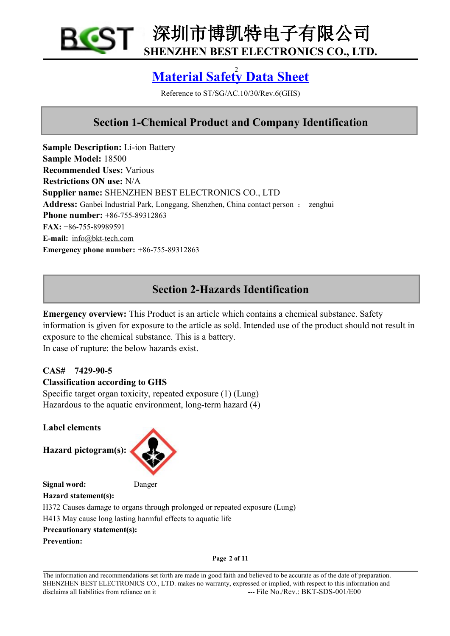

# <sup>2</sup> **Material Safety Data Sheet**

Reference to ST/SG/AC.10/30/Rev.6(GHS)

# **Section 1-Chemical Product and Company Identification**

**Sample Description:** Li-ion Battery **Sample Model:** 18500 **Recommended Uses:** Various **Restrictions ON use:** N/A **Supplier name:** SHENZHEN BEST ELECTRONICS CO., LTD Address: Ganbei Industrial Park, Longgang, Shenzhen, China contact person : zenghui **Phone number:** +86-755-89312863 **FAX:** +86-755-89989591 **E-mail:** [info@bkt-tech.com](mailto:bkt0008@163.com) **Emergency** phone **number:**  $+86-755-89312863$ 

# **Section 2-Hazards Identification**

**Emergency overview:** This Product is an article which contains a chemical substance. Safety information is given for exposure to the article as sold. Intended use of the product should not result in exposure to the chemical substance. This is a battery. In case of rupture: the below hazards exist.

## **CAS# 7429-90-5**

## **Classification according to GHS**

Specific target organ toxicity, repeated exposure (1) (Lung) Hazardous to the aquatic environment, long-term hazard (4)

**Label elements**

**Hazard pictogram(s):**



**Signal word:** Danger

**Hazard statement(s):**

H372 Causes damage to organs through prolonged or repeated exposure (Lung)

H413 May cause long lasting harmful effects to aquatic life

## **Precautionary statement(s):**

**Prevention:**

**Page 2 of 11**

The information and recommendations set forth are made in good faith and believed to be accurate as of the date of preparation. SHENZHEN BEST ELECTRONICS CO., LTD. makes no warranty, expressed or implied, with respect to this information and disclaims all liabilities from reliance on it  $\qquad \qquad \text{---}$  File No./Rev.: BKT-SDS-001/E00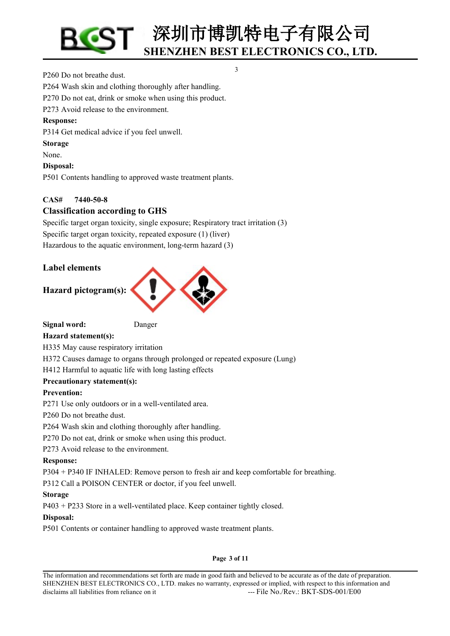3

#### P260 Do not breathe dust.

P264 Wash skin and clothing thoroughly after handling.

P270 Do not eat, drink or smoke when using this product.

P273 Avoid release to the environment.

#### **Response:**

P314 Get medical advice if you feel unwell.

#### **Storage**

None.

## **Disposal:**

P501 Contents handling to approved waste treatment plants.

## **CAS# 7440-50-8**

## **Classification according to GHS**

Specific target organ toxicity, single exposure; Respiratory tract irritation (3) Specific target organ toxicity, repeated exposure (1) (liver) Hazardous to the aquatic environment, long-term hazard (3)

## **Label elements**

## **Hazard pictogram(s):**



**Signal word:** Danger

**Hazard statement(s):**

H335 May cause respiratory irritation

H372 Causes damage to organs through prolonged or repeated exposure (Lung)

## H412 Harmful to aquatic life with long lasting effects

## **Precautionary statement(s):**

## **Prevention:**

P271 Use only outdoors or in a well-ventilated area.

P260 Do not breathe dust.

P264 Wash skin and clothing thoroughly after handling.

P270 Do not eat, drink or smoke when using this product.

P273 Avoid release to the environment.

## **Response:**

P304 + P340 IF INHALED: Remove person to fresh air and keep comfortable for breathing.

P312 Call a POISON CENTER or doctor, if you feel unwell.

## **Storage**

P403 + P233 Store in a well-ventilated place. Keep container tightly closed.

## **Disposal:**

P501 Contents or container handling to approved waste treatment plants.

#### **Page 3 of 11**

The information and recommendations set forth are made in good faith and believed to be accurate as of the date of preparation. SHENZHEN BEST ELECTRONICS CO., LTD. makes no warranty, expressed or implied, with respect to this information and disclaims all liabilities from reliance on it  $\qquad \qquad \text{---}$  File No./Rev.: BKT-SDS-001/E00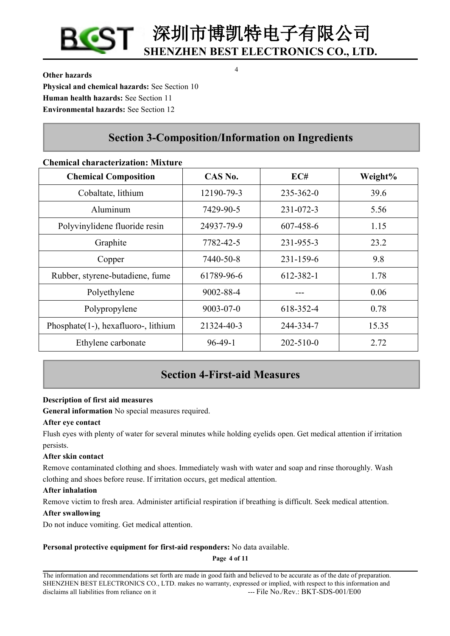**Other hazards Physical and chemical hazards:** See Section 10 **Human health hazards:** See Section 11 **Environmental hazards:** See Section 12

# **Section 3-Composition/Information on Ingredients**

## **Chemical characterization: Mixture**

| <b>Chemical Composition</b>          | CAS No.         | EC#             | Weight% |
|--------------------------------------|-----------------|-----------------|---------|
| Cobaltate, lithium                   | 12190-79-3      | $235 - 362 - 0$ | 39.6    |
| Aluminum                             | 7429-90-5       | $231 - 072 - 3$ | 5.56    |
| Polyvinylidene fluoride resin        | 24937-79-9      | 607-458-6       | 1.15    |
| Graphite                             | 7782-42-5       | 231-955-3       | 23.2    |
| Copper                               | 7440-50-8       | $231 - 159 - 6$ | 9.8     |
| Rubber, styrene-butadiene, fume      | 61789-96-6      | 612-382-1       | 1.78    |
| Polyethylene                         | 9002-88-4       | ---             | 0.06    |
| Polypropylene                        | $9003 - 07 - 0$ | 618-352-4       | 0.78    |
| Phosphate (1-), hexafluoro-, lithium | 21324-40-3      | 244-334-7       | 15.35   |
| Ethylene carbonate                   | $96-49-1$       | $202 - 510 - 0$ | 2.72    |

# **Section 4-First-aid Measures**

## **Description of first aid measures**

**General information** No special measures required.

## **After eye contact**

Flush eyes with plenty of water for several minutes while holding eyelids open. Get medical attention if irritation persists.

## **After skin contact**

Remove contaminated clothing and shoes. Immediately wash with water and soap and rinse thoroughly. Wash clothing and shoes before reuse. If irritation occurs, get medical attention.

#### **After inhalation**

Remove victim to fresh area. Administer artificial respiration if breathing is difficult. Seek medical attention.

#### **After swallowing**

Do not induce vomiting. Get medical attention.

## **Personal protective equipment for first-aid responders:** No data available.

**Page 4 of 11**

4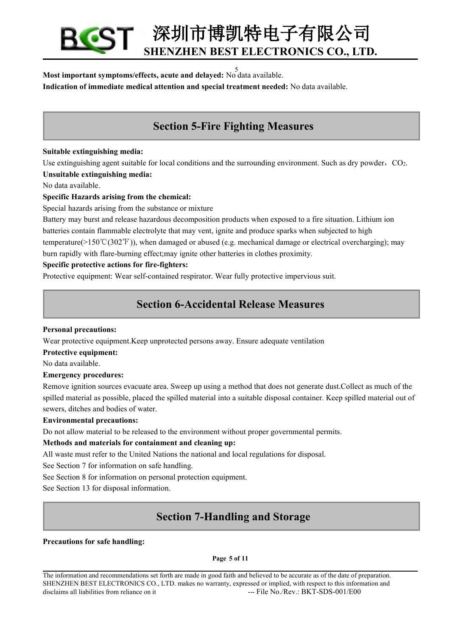5 **Most important symptoms/effects, acute and delayed:** No data available. **Indication of immediate medical attention and special treatment needed:** No data available.

# **Section 5-Fire Fighting Measures**

#### **Suitable extinguishing media:**

Use extinguishing agent suitable for local conditions and the surrounding environment. Such as dry powder,  $CO<sub>2</sub>$ .

#### **Unsuitable extinguishing media:**

No data available.

## **Specific Hazards arising from the chemical:**

Special hazards arising from the substance or mixture

Battery may burstand release hazardous decomposition products when exposed to a fire situation. Lithium ion batteries contain flammable electrolyte that may vent, ignite and produce sparks when subjected to high temperature( $>150°C(302°F)$ ), when damaged or abused (e.g. mechanical damage or electrical overcharging); may burn rapidly with flare-burning effect;may ignite other batteries in clothes proximity.

## **Specific protective actions for fire-fighters:**

Protective equipment: Wear self-contained respirator. Wear fully protective impervious suit.

# **Section 6-Accidental Release Measures**

#### **Personal precautions:**

Wear protective equipment.Keep unprotected persons away.Ensure adequate ventilation

#### **Protective equipment:**

No data available.

#### **Emergency procedures:**

Remove ignition sources evacuate area. Sweep up using a method that does not generate dust.Collect as much of the spilled material as possible, placed the spilled material into a suitable disposal container. Keep spilled material out of sewers, ditches and bodies of water.

#### **Environmental precautions:**

Do not allow material to be released to the environment without proper governmental permits.

## **Methods and materials for containment and cleaning up:**

All waste must refer to the United Nations the national and local regulations for disposal.

See Section 7 for information on safe handling.

See Section 8 for information on personal protection equipment.

See Section 13 for disposal information.

# **Section 7-Handling and Storage**

#### **Precautions for safe handling:**

#### **Page 5 of 11**

The information and recommendations set forth are made in good faith and believed to be accurate as ofthe date of preparation. SHENZHEN BEST ELECTRONICS CO., LTD. makes no warranty, expressed or implied, with respect to this information and disclaims all liabilities from reliance on it --- File No./Rev.: BKT-SDS-001/E00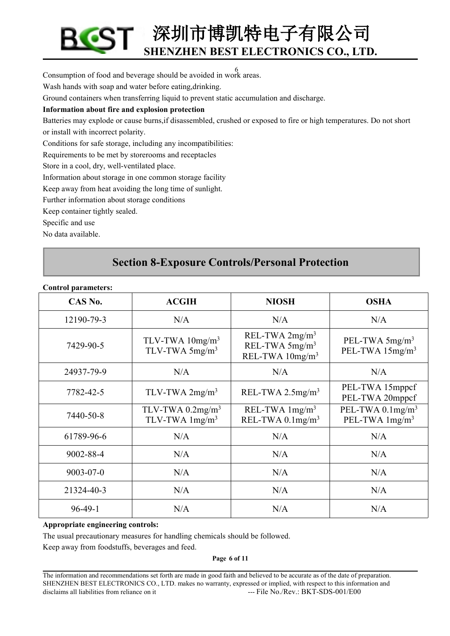6 Consumption of food and beverage should be avoided in work areas.

Wash hands with soap and water before eating,drinking.

Ground containers when transferring liquid to prevent static accumulation and discharge.

## **Information about fire and explosion protection**

Batteries may explode or cause burns,if disassembled, crushed or exposed to fire or high temperatures. Do not short or install with incorrect polarity.

Conditions for safe storage, including any incompatibilities:

Requirements to be met by storerooms and receptacles

Store in a cool, dry, well-ventilated place.

Information about storage in one common storage facility

Keep away from heat avoiding the long time of sunlight.

Further information about storage conditions

Keep container tightly sealed.

Specific and use

No data available.

# **Section 8-Exposure Controls/Personal Protection**

| CAS No.    | <b>ACGIH</b>                                                 | <b>NIOSH</b>                                                                  | <b>OSHA</b>                                         |
|------------|--------------------------------------------------------------|-------------------------------------------------------------------------------|-----------------------------------------------------|
| 12190-79-3 | N/A                                                          | N/A                                                                           | N/A                                                 |
| 7429-90-5  | TLV-TWA $10$ mg/m <sup>3</sup><br>TLV-TWA 5mg/m <sup>3</sup> | REL-TWA $2mg/m3$<br>REL-TWA 5mg/m <sup>3</sup><br>REL-TWA 10mg/m <sup>3</sup> | PEL-TWA $5mg/m3$<br>PEL-TWA 15mg/m <sup>3</sup>     |
| 24937-79-9 | N/A                                                          | N/A                                                                           | N/A                                                 |
| 7782-42-5  | TLV-TWA $2mg/m3$                                             | REL-TWA $2.5$ mg/m <sup>3</sup>                                               | PEL-TWA 15mppcf<br>PEL-TWA 20mppcf                  |
| 7440-50-8  | TLV-TWA $0.2$ mg/m <sup>3</sup><br>TLV-TWA $1mg/m3$          | REL-TWA $1mg/m3$<br>REL-TWA $0.1$ mg/m <sup>3</sup>                           | PEL-TWA $0.1$ mg/m <sup>3</sup><br>PEL-TWA $1mg/m3$ |
| 61789-96-6 | N/A                                                          | N/A                                                                           | N/A                                                 |
| 9002-88-4  | N/A                                                          | N/A                                                                           | N/A                                                 |
| 9003-07-0  | N/A                                                          | N/A                                                                           | N/A                                                 |
| 21324-40-3 | N/A                                                          | N/A                                                                           | N/A                                                 |
| $96-49-1$  | N/A                                                          | N/A                                                                           | N/A                                                 |

#### **Control parameters:**

#### **Appropriate engineering controls:**

The usual precautionary measures for handling chemicals should be followed.

Keep away from foodstuffs, beverages and feed.

**Page 6 of 11**

The information and recommendations set forth are made in good faith and believed to be accurate as of the date of preparation. SHENZHEN BEST ELECTRONICS CO., LTD. makes no warranty, expressed or implied, with respect to this information and disclaims all liabilities from reliance on it ---- File No./Rev.: BKT-SDS-001/E00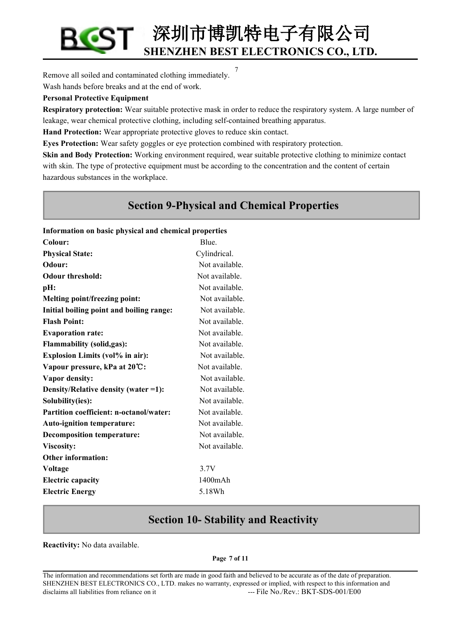7 Remove all soiled and contaminated clothing immediately. Wash hands before breaks and at the end of work.

#### **Personal Protective Equipment**

**Respiratory protection:** Wear suitable protective mask in order to reduce the respiratory system. A large number of leakage, wear chemical protective clothing, including self-contained breathing apparatus.

**Hand Protection:** Wear appropriate protective gloves to reduce skin contact.

**Eyes Protection:** Wear safety goggles or eye protection combined with respiratory protection.

**Skin and Body Protection:** Working environment required, wear suitable protective clothing to minimize contact with skin. The type of protective equipment must be according to the concentration and the content of certain hazardous substances in the workplace.

# **Section 9-Physical and Chemical Properties**

#### **Information on basic physical and chemical properties**

| Colour:                                  | Blue.          |
|------------------------------------------|----------------|
| <b>Physical State:</b>                   | Cylindrical.   |
| Odour:                                   | Not available. |
| <b>Odour threshold:</b>                  | Not available. |
| pH:                                      | Not available. |
| Melting point/freezing point:            | Not available. |
| Initial boiling point and boiling range: | Not available. |
| <b>Flash Point:</b>                      | Not available. |
| <b>Evaporation rate:</b>                 | Not available. |
| <b>Flammability</b> (solid,gas):         | Not available. |
| <b>Explosion Limits (vol% in air):</b>   | Not available. |
| Vapour pressure, kPa at 20°C:            | Not available. |
| Vapor density:                           | Not available. |
| Density/Relative density (water =1):     | Not available. |
| Solubility(ies):                         | Not available. |
| Partition coefficient: n-octanol/water:  | Not available. |
| Auto-ignition temperature:               | Not available. |
| <b>Decomposition temperature:</b>        | Not available. |
| Viscosity:                               | Not available. |
| <b>Other information:</b>                |                |
| Voltage                                  | 3.7V           |
| <b>Electric capacity</b>                 | 1400mAh        |
| <b>Electric Energy</b>                   | 5.18Wh         |
|                                          |                |

# **Section 10- Stability and Reactivity**

**Reactivity:** No data available.

#### **Page 7 of 11**

The information and recommendations set forth are made in good faith and believed to be accurate as of the date of preparation. SHENZHEN BEST ELECTRONICS CO., LTD. makes no warranty, expressed or implied, with respect to this information and disclaims all liabilities from reliance on it --- File No./Rev.: BKT-SDS-001/E00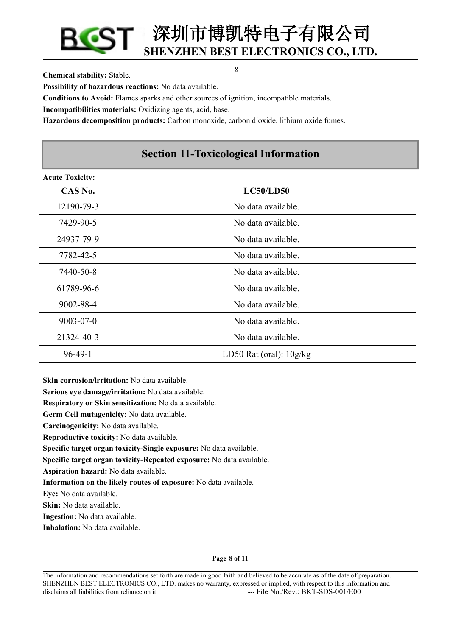8

**Chemical stability:** Stable.

**Possibility of hazardous reactions:** No data available.

**Conditions to Avoid:**Flames sparks and other sources ofignition, incompatible materials.

**Incompatibilities materials:** Oxidizing agents, acid, base.

**Hazardous decomposition products:** Carbon monoxide, carbon dioxide, lithium oxide fumes.

# **Section 11-Toxicological Information**

| <b>Acute Toxicity:</b> |                           |
|------------------------|---------------------------|
| CAS No.                | <b>LC50/LD50</b>          |
| 12190-79-3             | No data available.        |
| 7429-90-5              | No data available.        |
| 24937-79-9             | No data available.        |
| 7782-42-5              | No data available.        |
| 7440-50-8              | No data available.        |
| 61789-96-6             | No data available.        |
| 9002-88-4              | No data available.        |
| $9003 - 07 - 0$        | No data available.        |
| 21324-40-3             | No data available.        |
| $96-49-1$              | LD50 Rat (oral): $10g/kg$ |

**Skin corrosion/irritation:** No data available.

**Serious eye damage/irritation:** No data available.

**Respiratory or Skin sensitization:** No data available.

**Germ Cell mutagenicity:** No data available.

**Carcinogenicity:** No data available.

**Reproductive toxicity:** No data available.

**Specific target organ toxicity-Single exposure:** No data available.

**Specific target organ toxicity-Repeated exposure:** No data available.

**Aspiration hazard:** No data available.

**Information on the likely routes ofexposure:** No data available.

**Eye:** No data available.

**Skin:** No data available.

**Ingestion:** No data available.

**Inhalation:** No data available.

**Page 8 of 11**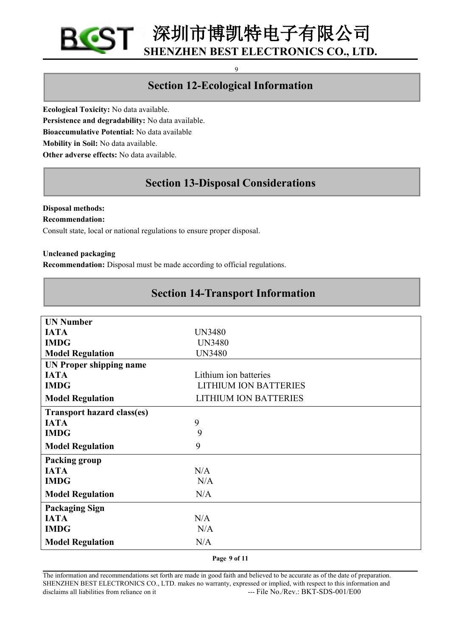## 9

# **Section 12-Ecological Information**

**Ecological Toxicity:** No data available. **Persistence and degradability:** No data available. **Bioaccumulative Potential:** No data available **Mobility in Soil:** No data available. **Other adverse effects:** No data available.

# **Section 13-Disposal Considerations**

## **Disposal methods:**

#### **Recommendation:**

Consult state, local or national regulations to ensure proper disposal.

#### **Uncleaned packaging**

**Recommendation:** Disposal must be made according to official regulations.

## **Section 14-Transport Information**

| <b>UN Number</b>                  |                              |
|-----------------------------------|------------------------------|
| <b>IATA</b>                       | <b>UN3480</b>                |
| <b>IMDG</b>                       | <b>UN3480</b>                |
| <b>Model Regulation</b>           | <b>UN3480</b>                |
| <b>UN Proper shipping name</b>    |                              |
| <b>IATA</b>                       | Lithium ion batteries        |
| <b>IMDG</b>                       | <b>LITHIUM ION BATTERIES</b> |
| <b>Model Regulation</b>           | <b>LITHIUM ION BATTERIES</b> |
| <b>Transport hazard class(es)</b> |                              |
| <b>IATA</b>                       | 9                            |
| <b>IMDG</b>                       | 9                            |
| <b>Model Regulation</b>           | 9                            |
| Packing group                     |                              |
| <b>IATA</b>                       | N/A                          |
| <b>IMDG</b>                       | N/A                          |
| <b>Model Regulation</b>           | N/A                          |
| <b>Packaging Sign</b>             |                              |
| <b>IATA</b>                       | N/A                          |
| <b>IMDG</b>                       | N/A                          |
| <b>Model Regulation</b>           | N/A                          |
|                                   |                              |

**Page 9 of 11**

The information and recommendations set forth are made in good faith and believed to be accurate as of the date of preparation. SHENZHEN BEST ELECTRONICS CO., LTD. makes no warranty, expressed or implied, with respect to this information and disclaims all liabilities from reliance on it ---- File No./Rev.: BKT-SDS-001/E00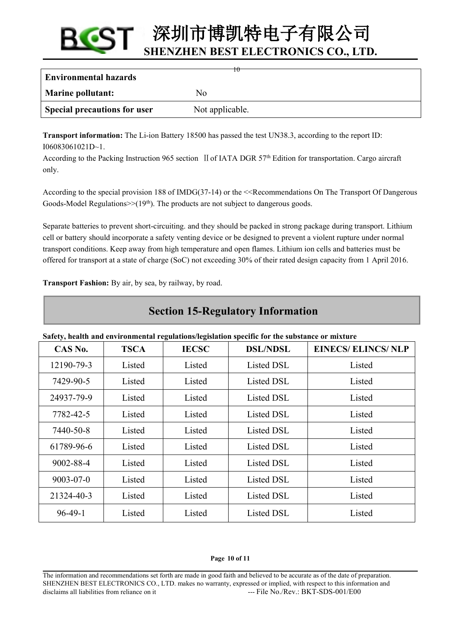| <b>Environmental hazards</b> | Ŧθ              |
|------------------------------|-----------------|
| <b>Marine pollutant:</b>     | Nο              |
| Special precautions for user | Not applicable. |

**Transport information:** The Li-ion Battery 18500 has passed the test UN38.3, according to the report ID: I06083061021D~1.

According to the Packing Instruction 965 section II of IATA DGR 57<sup>th</sup> Edition for transportation. Cargo aircraft only.

According to the special provision 188 of IMDG(37-14) or the <<Recommendations On The Transport Of Dangerous Goods-Model Regulations $\gg$ (19<sup>th</sup>). The products are not subject to dangerous goods.

Separate batteries to prevent short-circuiting. and they should be packed in strong package during transport. Lithium cell or battery should incorporate a safety venting device or be designed to prevent a violent rupture under normal transport conditions. Keep away from high temperature and open flames. Lithium ion cellsand batteries must be offered for transport at a state of charge (SoC) not exceeding 30% oftheir rated design capacity from 1 April 2016.

**Transport Fashion:** By air, by sea, by railway, by road.

# **Section 15-Regulatory Information**

**Safety, health and environmental regulations/legislation specific for the substance or mixture**

| CAS No.         | <b>TSCA</b> | <b>IECSC</b> | <b>DSL/NDSL</b> | <b>EINECS/ ELINCS/ NLP</b> |
|-----------------|-------------|--------------|-----------------|----------------------------|
| 12190-79-3      | Listed      | Listed       | Listed DSL      | Listed                     |
| 7429-90-5       | Listed      | Listed       | Listed DSL      | Listed                     |
| 24937-79-9      | Listed      | Listed       | Listed DSL      | Listed                     |
| 7782-42-5       | Listed      | Listed       | Listed DSL      | Listed                     |
| 7440-50-8       | Listed      | Listed       | Listed DSL      | Listed                     |
| 61789-96-6      | Listed      | Listed       | Listed DSL      | Listed                     |
| 9002-88-4       | Listed      | Listed       | Listed DSL      | Listed                     |
| $9003 - 07 - 0$ | Listed      | Listed       | Listed DSL      | Listed                     |
| 21324-40-3      | Listed      | Listed       | Listed DSL      | Listed                     |
| $96-49-1$       | Listed      | Listed       | Listed DSL      | Listed                     |

#### **Page 10 of 11**

The information and recommendations set forth are made in good faith and believed to be accurate as ofthe date of preparation. SHENZHEN BEST ELECTRONICS CO., LTD. makes no warranty, expressed or implied, with respect to this information and disclaims all liabilities from reliance on it ---- File No./Rev.: BKT-SDS-001/E00